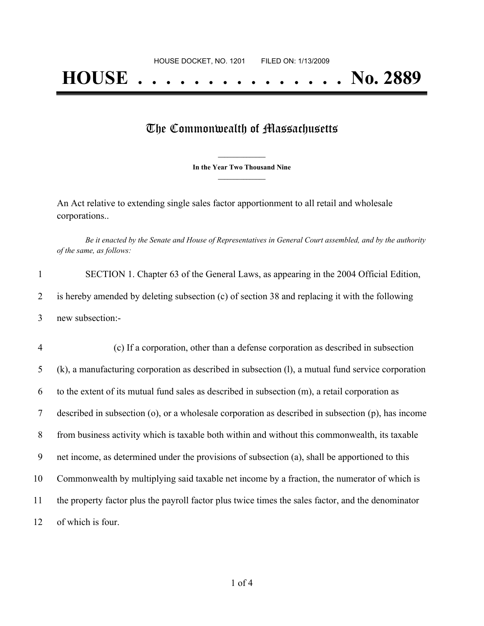## The Commonwealth of Massachusetts

**\_\_\_\_\_\_\_\_\_\_\_\_\_\_\_ In the Year Two Thousand Nine \_\_\_\_\_\_\_\_\_\_\_\_\_\_\_**

An Act relative to extending single sales factor apportionment to all retail and wholesale corporations..

Be it enacted by the Senate and House of Representatives in General Court assembled, and by the authority *of the same, as follows:*

|   | SECTION 1. Chapter 63 of the General Laws, as appearing in the 2004 Official Edition,          |
|---|------------------------------------------------------------------------------------------------|
|   | is hereby amended by deleting subsection (c) of section 38 and replacing it with the following |
| 3 | new subsection:-                                                                               |

4 (c) If a corporation, other than a defense corporation as described in subsection (k), a manufacturing corporation as described in subsection (l), a mutual fund service corporation to the extent of its mutual fund sales as described in subsection (m), a retail corporation as described in subsection (o), or a wholesale corporation as described in subsection (p), has income from business activity which is taxable both within and without this commonwealth, its taxable net income, as determined under the provisions of subsection (a), shall be apportioned to this Commonwealth by multiplying said taxable net income by a fraction, the numerator of which is the property factor plus the payroll factor plus twice times the sales factor, and the denominator of which is four.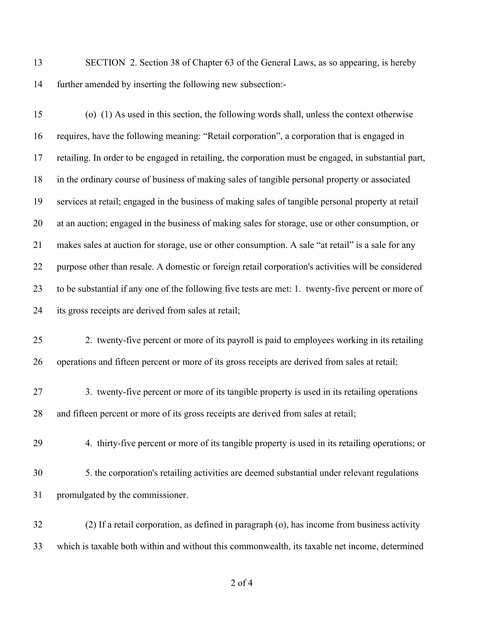SECTION 2. Section 38 of Chapter 63 of the General Laws, as so appearing, is hereby further amended by inserting the following new subsection:-

 (o) (1) As used in this section, the following words shall, unless the context otherwise requires, have the following meaning: "Retail corporation", a corporation that is engaged in retailing. In order to be engaged in retailing, the corporation must be engaged, in substantial part, in the ordinary course of business of making sales of tangible personal property or associated services at retail; engaged in the business of making sales of tangible personal property at retail at an auction; engaged in the business of making sales for storage, use or other consumption, or makes sales at auction for storage, use or other consumption. A sale "at retail" is a sale for any purpose other than resale. A domestic or foreign retail corporation's activities will be considered to be substantial if any one of the following five tests are met: 1. twenty-five percent or more of its gross receipts are derived from sales at retail;

- 2. twenty-five percent or more of its payroll is paid to employees working in its retailing operations and fifteen percent or more of its gross receipts are derived from sales at retail;
- 3. twenty-five percent or more of its tangible property is used in its retailing operations and fifteen percent or more of its gross receipts are derived from sales at retail;
	-

4. thirty-five percent or more of its tangible property is used in its retailing operations; or

 5. the corporation's retailing activities are deemed substantial under relevant regulations promulgated by the commissioner.

 (2) If a retail corporation, as defined in paragraph (o), has income from business activity which is taxable both within and without this commonwealth, its taxable net income, determined

of 4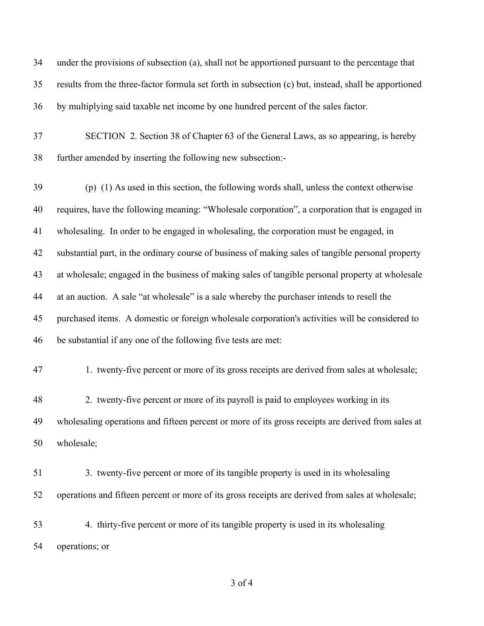under the provisions of subsection (a), shall not be apportioned pursuant to the percentage that results from the three-factor formula set forth in subsection (c) but, instead, shall be apportioned by multiplying said taxable net income by one hundred percent of the sales factor.

 SECTION 2. Section 38 of Chapter 63 of the General Laws, as so appearing, is hereby further amended by inserting the following new subsection:-

 (p) (1) As used in this section, the following words shall, unless the context otherwise requires, have the following meaning: "Wholesale corporation", a corporation that is engaged in wholesaling. In order to be engaged in wholesaling, the corporation must be engaged, in substantial part, in the ordinary course of business of making sales of tangible personal property at wholesale; engaged in the business of making sales of tangible personal property at wholesale at an auction. A sale "at wholesale" is a sale whereby the purchaser intends to resell the purchased items. A domestic or foreign wholesale corporation's activities will be considered to be substantial if any one of the following five tests are met:

1. twenty-five percent or more of its gross receipts are derived from sales at wholesale;

 2. twenty-five percent or more of its payroll is paid to employees working in its wholesaling operations and fifteen percent or more of its gross receipts are derived from sales at wholesale;

 3. twenty-five percent or more of its tangible property is used in its wholesaling operations and fifteen percent or more of its gross receipts are derived from sales at wholesale;

 4. thirty-five percent or more of its tangible property is used in its wholesaling operations; or